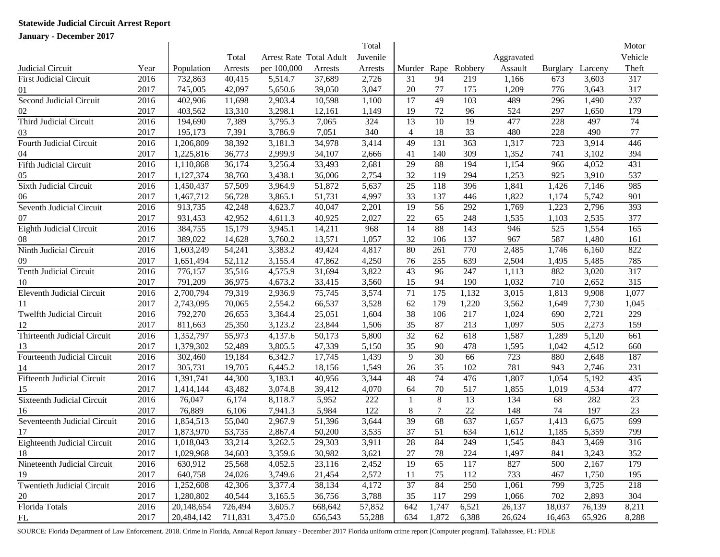## **Statewide Judicial Circuit Arrest Report**

**January - December 2017**

|                                   |      |            |         |                         |         | Total    |                 |                 |                 |            |          |         | Motor            |
|-----------------------------------|------|------------|---------|-------------------------|---------|----------|-----------------|-----------------|-----------------|------------|----------|---------|------------------|
|                                   |      |            | Total   | Arrest Rate Total Adult |         | Juvenile |                 |                 |                 | Aggravated |          |         | Vehicle          |
| Judicial Circuit                  | Year | Population | Arrests | per 100,000             | Arrests | Arrests  | Murder          | Rape            | Robbery         | Assault    | Burglary | Larceny | Theft            |
| <b>First Judicial Circuit</b>     | 2016 | 732,863    | 40,415  | 5,514.7                 | 37,689  | 2,726    | 31              | 94              | 219             | 1,166      | 673      | 3,603   | 317              |
| 01                                | 2017 | 745,005    | 42,097  | 5,650.6                 | 39,050  | 3,047    | $20\,$          | 77              | 175             | 1,209      | 776      | 3,643   | 317              |
| Second Judicial Circuit           | 2016 | 402,906    | 11,698  | 2,903.4                 | 10,598  | 1,100    | 17              | 49              | 103             | 489        | 296      | 1,490   | 237              |
| 02                                | 2017 | 403,562    | 13,310  | 3,298.1                 | 12,161  | 1,149    | 19              | 72              | 96              | 524        | 297      | 1,650   | 179              |
| Third Judicial Circuit            | 2016 | 194,690    | 7,389   | 3,795.3                 | 7,065   | 324      | 13              | $\overline{10}$ | $\overline{19}$ | 477        | 228      | 497     | $\overline{74}$  |
| 03                                | 2017 | 195,173    | 7,391   | 3,786.9                 | 7,051   | 340      | $\overline{4}$  | 18              | 33              | 480        | 228      | 490     | $77\,$           |
| Fourth Judicial Circuit           | 2016 | 1,206,809  | 38,392  | 3,181.3                 | 34,978  | 3,414    | 49              | 131             | 363             | 1,317      | 723      | 3,914   | 446              |
| 04                                | 2017 | 1,225,816  | 36,773  | 2,999.9                 | 34,107  | 2,666    | 41              | 140             | 309             | 1,352      | 741      | 3,102   | 394              |
| Fifth Judicial Circuit            | 2016 | 1,110,868  | 36,174  | 3,256.4                 | 33,493  | 2,681    | 29              | 88              | 194             | 1,154      | 966      | 4,052   | 431              |
| 05                                | 2017 | 1,127,374  | 38,760  | 3,438.1                 | 36,006  | 2,754    | 32              | 119             | 294             | 1,253      | 925      | 3,910   | 537              |
| Sixth Judicial Circuit            | 2016 | 1,450,437  | 57,509  | 3,964.9                 | 51,872  | 5,637    | 25              | 118             | 396             | 1,841      | 1,426    | 7,146   | 985              |
| 06                                | 2017 | 1,467,712  | 56,728  | 3,865.1                 | 51,731  | 4,997    | 33              | 137             | 446             | 1,822      | 1,174    | 5,742   | 901              |
| Seventh Judicial Circuit          | 2016 | 913,735    | 42,248  | 4,623.7                 | 40,047  | 2,201    | 19              | 56              | 292             | 1,769      | 1,223    | 2,796   | 393              |
| 07                                | 2017 | 931,453    | 42,952  | 4,611.3                 | 40,925  | 2,027    | 22              | 65              | 248             | 1,535      | 1,103    | 2,535   | 377              |
| Eighth Judicial Circuit           | 2016 | 384,755    | 15,179  | 3,945.1                 | 14,211  | 968      | 14              | 88              | 143             | 946        | 525      | 1,554   | 165              |
| 08                                | 2017 | 389,022    | 14,628  | 3,760.2                 | 13,571  | 1,057    | 32              | 106             | 137             | 967        | 587      | 1,480   | 161              |
| Ninth Judicial Circuit            | 2016 | 1,603,249  | 54,241  | 3,383.2                 | 49,424  | 4,817    | 80              | 261             | 770             | 2,485      | 1,746    | 6,160   | 822              |
| 09                                | 2017 | 1,651,494  | 52,112  | 3,155.4                 | 47,862  | 4,250    | 76              | 255             | 639             | 2,504      | 1,495    | 5,485   | 785              |
| <b>Tenth Judicial Circuit</b>     | 2016 | 776,157    | 35,516  | 4,575.9                 | 31,694  | 3,822    | 43              | 96              | 247             | 1,113      | 882      | 3,020   | 317              |
| 10                                | 2017 | 791,209    | 36,975  | 4,673.2                 | 33,415  | 3,560    | 15              | 94              | 190             | 1,032      | 710      | 2,652   | 315              |
| <b>Eleventh Judicial Circuit</b>  | 2016 | 2,700,794  | 79,319  | 2,936.9                 | 75,745  | 3,574    | 71              | 175             | 1,132           | 3,015      | 1,813    | 9,908   | 1,077            |
| 11                                | 2017 | 2,743,095  | 70,065  | 2,554.2                 | 66,537  | 3,528    | 62              | 179             | 1,220           | 3,562      | 1,649    | 7,730   | 1,045            |
| <b>Twelfth Judicial Circuit</b>   | 2016 | 792,270    | 26,655  | 3,364.4                 | 25,051  | 1,604    | $\overline{38}$ | 106             | 217             | 1,024      | 690      | 2,721   | 229              |
| 12                                | 2017 | 811,663    | 25,350  | 3,123.2                 | 23,844  | 1,506    | 35              | 87              | 213             | 1,097      | 505      | 2,273   | 159              |
| Thirteenth Judicial Circuit       | 2016 | 1,352,797  | 55,973  | 4,137.6                 | 50,173  | 5,800    | 32              | 62              | 618             | 1,587      | 1,289    | 5,120   | 661              |
| 13                                | 2017 | 1,379,302  | 52,489  | 3,805.5                 | 47,339  | 5,150    | 35              | 90              | 478             | 1,595      | 1,042    | 4,512   | 660              |
| Fourteenth Judicial Circuit       | 2016 | 302,460    | 19,184  | 6,342.7                 | 17,745  | 1,439    | 9               | 30              | 66              | 723        | 880      | 2,648   | 187              |
| 14                                | 2017 | 305,731    | 19,705  | 6,445.2                 | 18,156  | 1,549    | 26              | 35              | 102             | 781        | 943      | 2,746   | 231              |
| <b>Fifteenth Judicial Circuit</b> | 2016 | 1,391,741  | 44,300  | 3,183.1                 | 40,956  | 3,344    | 48              | $\overline{74}$ | 476             | 1,807      | 1,054    | 5,192   | 435              |
| 15                                | 2017 | 1,414,144  | 43,482  | 3,074.8                 | 39,412  | 4,070    | 64              | 70              | 517             | 1,855      | 1,019    | 4,534   | 477              |
| Sixteenth Judicial Circuit        | 2016 | 76,047     | 6,174   | 8,118.7                 | 5,952   | 222      | -1              | $\overline{8}$  | 13              | 134        | 68       | 282     | 23               |
| 16                                | 2017 | 76,889     | 6,106   | 7,941.3                 | 5,984   | 122      | 8               | $\tau$          | $22\,$          | 148        | 74       | 197     | 23               |
| Seventeenth Judicial Circuit      | 2016 | 1,854,513  | 55,040  | 2,967.9                 | 51,396  | 3,644    | 39              | 68              | 637             | 1,657      | 1,413    | 6,675   | 699              |
| 17                                | 2017 | 1,873,970  | 53,735  | 2,867.4                 | 50,200  | 3,535    | 37              | 51              | 634             | 1,612      | 1,185    | 5,359   | 799              |
| Eighteenth Judicial Circuit       | 2016 | 1,018,043  | 33,214  | 3,262.5                 | 29,303  | 3,911    | 28              | 84              | 249             | 1,545      | 843      | 3,469   | $\overline{316}$ |
| 18                                | 2017 | 1,029,968  | 34,603  | 3,359.6                 | 30,982  | 3,621    | 27              | 78              | 224             | 1,497      | 841      | 3,243   | 352              |
| Nineteenth Judicial Circuit       | 2016 | 630,912    | 25,568  | 4,052.5                 | 23,116  | 2,452    | 19              | 65              | 117             | 827        | 500      | 2,167   | 179              |
| 19                                | 2017 | 640,758    | 24,026  | 3,749.6                 | 21,454  | 2,572    | 11              | 75              | 112             | 733        | 467      | 1,750   | 195              |
| <b>Twentieth Judicial Circuit</b> | 2016 | 1,252,608  | 42,306  | 3,377.4                 | 38,134  | 4,172    | 37              | 84              | 250             | 1,061      | 799      | 3,725   | 218              |
| 20                                | 2017 | 1,280,802  | 40,544  | 3,165.5                 | 36,756  | 3,788    | 35              | 117             | 299             | 1,066      | 702      | 2,893   | 304              |
| <b>Florida Totals</b>             | 2016 | 20,148,654 | 726,494 | 3,605.7                 | 668,642 | 57,852   | 642             | 1,747           | 6,521           | 26,137     | 18,037   | 76,139  | 8,211            |
| FL                                | 2017 | 20,484,142 | 711,831 | 3,475.0                 | 656,543 | 55,288   | 634             | 1,872           | 6,388           | 26,624     | 16,463   | 65,926  | 8,288            |

SOURCE: Florida Department of Law Enforcement. 2018. Crime in Florida, Annual Report January - December 2017 Florida uniform crime report [Computer program]. Tallahassee, FL: FDLE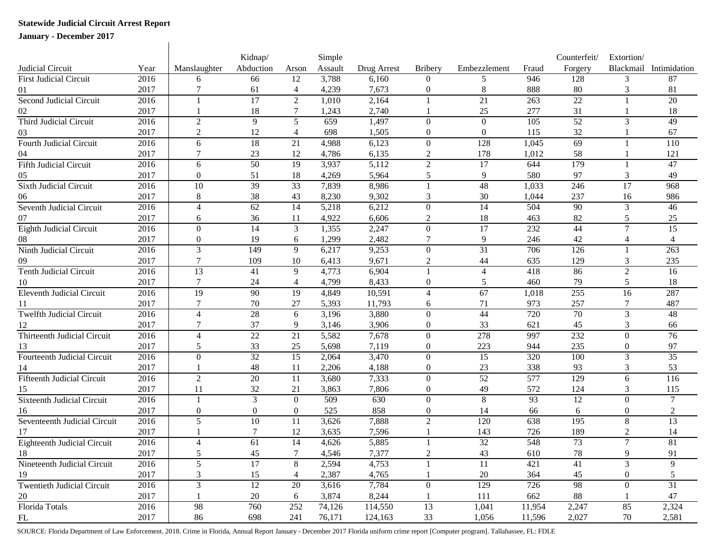## **Statewide Judicial Circuit Arrest Report**

**January - December 2017**

|                                    |      |                 | Kidnap/         |                          | Simple  |             |                  |                 |        | Counterfeit/     | Extortion/      |                        |
|------------------------------------|------|-----------------|-----------------|--------------------------|---------|-------------|------------------|-----------------|--------|------------------|-----------------|------------------------|
| Judicial Circuit                   | Year | Manslaughter    | Abduction       | Arson                    | Assault | Drug Arrest | <b>Bribery</b>   | Embezzlement    | Fraud  | Forgery          |                 | Blackmail Intimidation |
| First Judicial Circuit             | 2016 | 6               | 66              | 12                       | 3,788   | 6,160       | $\theta$         | 5               | 946    | 128              | 3               | 87                     |
|                                    | 2017 | 7               | 61              | $\overline{4}$           | 4,239   | 7,673       | $\boldsymbol{0}$ | $\,8\,$         | 888    | 80               | 3               | 81                     |
| Second Judicial Circuit            | 2016 | $\mathbf{1}$    | $\overline{17}$ | $\overline{2}$           | 1,010   | 2,164       |                  | 21              | 263    | 22               |                 | 20                     |
|                                    | 2017 |                 | 18              | 7                        | 1,243   | 2,740       |                  | 25              | 277    | 31               |                 | 18                     |
| Third Judicial Circuit             | 2016 | $\overline{2}$  | 9               | 5                        | 659     | 1,497       | $\Omega$         | $\Omega$        | 105    | 52               | 3               | 49                     |
| 03                                 | 2017 | $\overline{2}$  | 12              | $\overline{\mathcal{A}}$ | 698     | 1,505       | $\mathbf{0}$     | $\overline{0}$  | 115    | 32               |                 | 67                     |
| <b>Fourth Judicial Circuit</b>     | 2016 | 6               | 18              | $\overline{21}$          | 4,988   | 6,123       | $\overline{0}$   | 128             | 1,045  | 69               |                 | 110                    |
|                                    | 2017 |                 | 23              | 12                       | 4,786   | 6,135       | 2                | 178             | 1,012  | 58               |                 | 121                    |
| <b>Fifth Judicial Circuit</b>      | 2016 | 6               | 50              | $\overline{19}$          | 3,937   | 5,112       | $\overline{2}$   | $\overline{17}$ | 644    | $\overline{179}$ |                 | 47                     |
| 05                                 | 2017 | $\mathbf{0}$    | 51              | 18                       | 4,269   | 5,964       | 5                | 9               | 580    | 97               | 3               | 49                     |
| <b>Sixth Judicial Circuit</b>      | 2016 | 10              | 39              | 33                       | 7,839   | 8,986       |                  | 48              | 1,033  | 246              | $\overline{17}$ | 968                    |
| 06                                 | 2017 | 8               | 38              | 43                       | 8,230   | 9,302       | 3                | 30              | 1,044  | 237              | 16              | 986                    |
| Seventh Judicial Circuit           | 2016 | 4               | 62              | 14                       | 5,218   | 6,212       | $\Omega$         | 14              | 504    | 90               | 3               | 46                     |
| 07                                 | 2017 | 6               | 36              | 11                       | 4,922   | 6,606       | 2                | 18              | 463    | 82               | 5               | 25                     |
| <b>Eighth Judicial Circuit</b>     | 2016 | $\overline{0}$  | 14              | $\mathfrak{Z}$           | 1,355   | 2,247       | $\overline{0}$   | $\overline{17}$ | 232    | 44               | $\tau$          | $\overline{15}$        |
| 08                                 | 2017 | $\mathbf{0}$    | 19              | 6                        | 1,299   | 2,482       | 7                | 9               | 246    | 42               | 4               |                        |
| Ninth Judicial Circuit             | 2016 | 3               | 149             | $\overline{9}$           | 6,217   | 9,253       | $\overline{0}$   | $\overline{31}$ | 706    | 126              |                 | 263                    |
| 09                                 | 2017 | 7               | 109             | 10                       | 6,413   | 9,671       | $\overline{c}$   | 44              | 635    | 129              | 3               | 235                    |
| <b>Tenth Judicial Circuit</b>      | 2016 | 13              | 41              | 9                        | 4,773   | 6,904       |                  | $\overline{4}$  | 418    | 86               | 2               | 16                     |
| 10                                 | 2017 | 7               | 24              | 4                        | 4,799   | 8,433       | $\mathbf{0}$     | 5               | 460    | 79               | 5               | 18                     |
| <b>Eleventh Judicial Circuit</b>   | 2016 | $\overline{19}$ | 90              | $\overline{19}$          | 4,849   | 10,591      | $\overline{4}$   | 67              | 1,018  | 255              | $\overline{16}$ | 287                    |
| 11                                 | 2017 | 7               | 70              | 27                       | 5,393   | 11,793      | 6                | 71              | 973    | 257              | 7               | 487                    |
| <b>Twelfth Judicial Circuit</b>    | 2016 | 4               | 28              | 6                        | 3,196   | 3,880       | $\mathbf{0}$     | 44              | 720    | 70               | 3               | 48                     |
| 12                                 | 2017 | 7               | 37              | 9                        | 3,146   | 3,906       | $\boldsymbol{0}$ | 33              | 621    | 45               | 3               | 66                     |
| Thirteenth Judicial Circuit        | 2016 | 4               | $22\,$          | 21                       | 5,582   | 7,678       | $\overline{0}$   | 278             | 997    | 232              | $\Omega$        | 76                     |
| 13                                 | 2017 | 5               | 33              | 25                       | 5,698   | 7,119       | $\boldsymbol{0}$ | 223             | 944    | 235              | $\mathbf{0}$    | 97                     |
| Fourteenth Judicial Circuit        | 2016 | $\Omega$        | $\overline{32}$ | 15                       | 2,064   | 3,470       | $\theta$         | 15              | 320    | 100              | 3               | $\overline{35}$        |
|                                    | 2017 |                 | 48              | 11                       | 2,206   | 4,188       | $\theta$         | 23              | 338    | 93               | 3               | 53                     |
| <b>Fifteenth Judicial Circuit</b>  | 2016 | 2               | 20              | 11                       | 3,680   | 7,333       | $\Omega$         | 52              | 577    | 129              | 6               | 116                    |
| 15                                 | 2017 | 11              | 32              | 21                       | 3,863   | 7,806       | $\mathbf{0}$     | 49              | 572    | 124              | 3               | 115                    |
| <b>Sixteenth Judicial Circuit</b>  | 2016 | $\mathbf{1}$    | 3               | $\Omega$                 | 509     | 630         | $\Omega$         | 8               | 93     | 12               | $\theta$        | $\tau$                 |
| 16                                 | 2017 | $\mathbf{0}$    | $\theta$        | $\overline{0}$           | 525     | 858         | $\mathbf{0}$     | 14              | 66     | 6                | 0               | 2                      |
| Seventeenth Judicial Circuit       | 2016 | 5               | 10              | 11                       | 3,626   | 7,888       | $\overline{2}$   | 120             | 638    | 195              | 8               | $\overline{13}$        |
| 17                                 | 2017 |                 | 7               | 12                       | 3,635   | 7,596       |                  | 143             | 726    | 189              | 2               | 14                     |
| <b>Eighteenth Judicial Circuit</b> | 2016 | 4               | 61              | 14                       | 4,626   | 5,885       |                  | $\overline{32}$ | 548    | $\overline{73}$  | $\tau$          | $\overline{81}$        |
| 18                                 | 2017 | 5               | 45              |                          | 4,546   | 7,377       | 2                | 43              | 610    | 78               | 9               | 91                     |
| Nineteenth Judicial Circuit        | 2016 | 5               | $\overline{17}$ | 8                        | 2,594   | 4,753       |                  | 11              | 421    | 41               | 3               | 9                      |
| 19                                 | 2017 | 3               | 15              | 4                        | 2,387   | 4,765       |                  | 20              | 364    | 45               | 0               | 5                      |
| <b>Twentieth Judicial Circuit</b>  | 2016 | 3               | 12              | 20                       | 3,616   | 7,784       | $\overline{0}$   | 129             | 726    | 98               | $\overline{0}$  | 31                     |
| 20                                 | 2017 |                 | 20              | 6                        | 3,874   | 8,244       |                  | 111             | 662    | 88               |                 | 47                     |
| Florida Totals                     | 2016 | 98              | 760             | 252                      | 74,126  | 114,550     | 13               | 1,041           | 11,954 | 2,247            | 85              | 2,324                  |
| FL                                 | 2017 | 86              | 698             | 241                      | 76,171  | 124,163     | 33               | 1,056           | 11,596 | 2,027            | 70              | 2,581                  |

SOURCE: Florida Department of Law Enforcement. 2018. Crime in Florida, Annual Report January - December 2017 Florida uniform crime report [Computer program]. Tallahassee, FL: FDLE